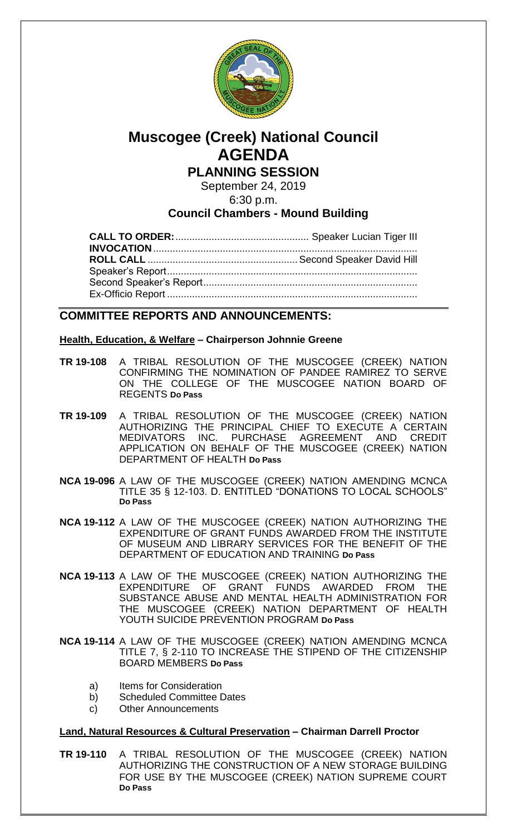

# **Muscogee (Creek) National Council AGENDA PLANNING SESSION**

September 24, 2019

6:30 p.m.

## **Council Chambers - Mound Building**

### **COMMITTEE REPORTS AND ANNOUNCEMENTS:**

#### **Health, Education, & Welfare – Chairperson Johnnie Greene**

- **TR 19-108** A TRIBAL RESOLUTION OF THE MUSCOGEE (CREEK) NATION CONFIRMING THE NOMINATION OF PANDEE RAMIREZ TO SERVE ON THE COLLEGE OF THE MUSCOGEE NATION BOARD OF REGENTS **Do Pass**
- **TR 19-109** A TRIBAL RESOLUTION OF THE MUSCOGEE (CREEK) NATION AUTHORIZING THE PRINCIPAL CHIEF TO EXECUTE A CERTAIN MEDIVATORS INC. PURCHASE AGREEMENT AND CREDIT APPLICATION ON BEHALF OF THE MUSCOGEE (CREEK) NATION DEPARTMENT OF HEALTH **Do Pass**
- **NCA 19-096** A LAW OF THE MUSCOGEE (CREEK) NATION AMENDING MCNCA TITLE 35 § 12-103. D. ENTITLED "DONATIONS TO LOCAL SCHOOLS" **Do Pass**
- **NCA 19-112** A LAW OF THE MUSCOGEE (CREEK) NATION AUTHORIZING THE EXPENDITURE OF GRANT FUNDS AWARDED FROM THE INSTITUTE OF MUSEUM AND LIBRARY SERVICES FOR THE BENEFIT OF THE DEPARTMENT OF EDUCATION AND TRAINING **Do Pass**
- **NCA 19-113** A LAW OF THE MUSCOGEE (CREEK) NATION AUTHORIZING THE EXPENDITURE OF GRANT FUNDS AWARDED FROM THE SUBSTANCE ABUSE AND MENTAL HEALTH ADMINISTRATION FOR THE MUSCOGEE (CREEK) NATION DEPARTMENT OF HEALTH YOUTH SUICIDE PREVENTION PROGRAM **Do Pass**
- **NCA 19-114** A LAW OF THE MUSCOGEE (CREEK) NATION AMENDING MCNCA TITLE 7, § 2-110 TO INCREASE THE STIPEND OF THE CITIZENSHIP BOARD MEMBERS **Do Pass**
	- a) Items for Consideration
	- b) Scheduled Committee Dates
	- c) Other Announcements

#### **Land, Natural Resources & Cultural Preservation – Chairman Darrell Proctor**

**TR 19-110** A TRIBAL RESOLUTION OF THE MUSCOGEE (CREEK) NATION AUTHORIZING THE CONSTRUCTION OF A NEW STORAGE BUILDING FOR USE BY THE MUSCOGEE (CREEK) NATION SUPREME COURT **Do Pass**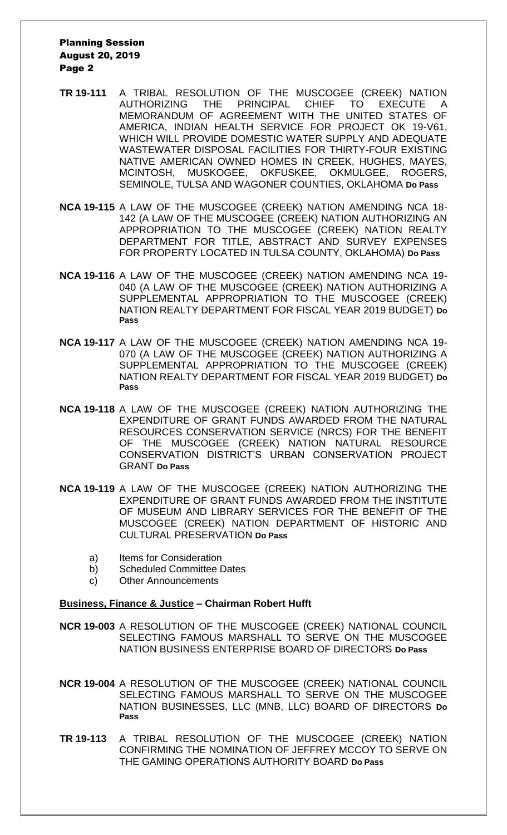#### Planning Session August 20, 2019 Page 2

- **TR 19-111** A TRIBAL RESOLUTION OF THE MUSCOGEE (CREEK) NATION AUTHORIZING THE PRINCIPAL CHIEF TO EXECUTE A MEMORANDUM OF AGREEMENT WITH THE UNITED STATES OF AMERICA, INDIAN HEALTH SERVICE FOR PROJECT OK 19-V61, WHICH WILL PROVIDE DOMESTIC WATER SUPPLY AND ADEQUATE WASTEWATER DISPOSAL FACILITIES FOR THIRTY-FOUR EXISTING NATIVE AMERICAN OWNED HOMES IN CREEK, HUGHES, MAYES, MCINTOSH, MUSKOGEE, OKFUSKEE, OKMULGEE, ROGERS, SEMINOLE, TULSA AND WAGONER COUNTIES, OKLAHOMA **Do Pass**
- **NCA 19-115** A LAW OF THE MUSCOGEE (CREEK) NATION AMENDING NCA 18- 142 (A LAW OF THE MUSCOGEE (CREEK) NATION AUTHORIZING AN APPROPRIATION TO THE MUSCOGEE (CREEK) NATION REALTY DEPARTMENT FOR TITLE, ABSTRACT AND SURVEY EXPENSES FOR PROPERTY LOCATED IN TULSA COUNTY, OKLAHOMA) **Do Pass**
- **NCA 19-116** A LAW OF THE MUSCOGEE (CREEK) NATION AMENDING NCA 19- 040 (A LAW OF THE MUSCOGEE (CREEK) NATION AUTHORIZING A SUPPLEMENTAL APPROPRIATION TO THE MUSCOGEE (CREEK) NATION REALTY DEPARTMENT FOR FISCAL YEAR 2019 BUDGET) **Do Pass**
- **NCA 19-117** A LAW OF THE MUSCOGEE (CREEK) NATION AMENDING NCA 19- 070 (A LAW OF THE MUSCOGEE (CREEK) NATION AUTHORIZING A SUPPLEMENTAL APPROPRIATION TO THE MUSCOGEE (CREEK) NATION REALTY DEPARTMENT FOR FISCAL YEAR 2019 BUDGET) **Do Pass**
- **NCA 19-118** A LAW OF THE MUSCOGEE (CREEK) NATION AUTHORIZING THE EXPENDITURE OF GRANT FUNDS AWARDED FROM THE NATURAL RESOURCES CONSERVATION SERVICE (NRCS) FOR THE BENEFIT OF THE MUSCOGEE (CREEK) NATION NATURAL RESOURCE CONSERVATION DISTRICT'S URBAN CONSERVATION PROJECT GRANT **Do Pass**
- **NCA 19-119** A LAW OF THE MUSCOGEE (CREEK) NATION AUTHORIZING THE EXPENDITURE OF GRANT FUNDS AWARDED FROM THE INSTITUTE OF MUSEUM AND LIBRARY SERVICES FOR THE BENEFIT OF THE MUSCOGEE (CREEK) NATION DEPARTMENT OF HISTORIC AND CULTURAL PRESERVATION **Do Pass**
	- a) Items for Consideration
	- b) Scheduled Committee Dates
	- c) Other Announcements

#### **Business, Finance & Justice – Chairman Robert Hufft**

- **NCR 19-003** A RESOLUTION OF THE MUSCOGEE (CREEK) NATIONAL COUNCIL SELECTING FAMOUS MARSHALL TO SERVE ON THE MUSCOGEE NATION BUSINESS ENTERPRISE BOARD OF DIRECTORS **Do Pass**
- **NCR 19-004** A RESOLUTION OF THE MUSCOGEE (CREEK) NATIONAL COUNCIL SELECTING FAMOUS MARSHALL TO SERVE ON THE MUSCOGEE NATION BUSINESSES, LLC (MNB, LLC) BOARD OF DIRECTORS **Do Pass**
- **TR 19-113** A TRIBAL RESOLUTION OF THE MUSCOGEE (CREEK) NATION CONFIRMING THE NOMINATION OF JEFFREY MCCOY TO SERVE ON THE GAMING OPERATIONS AUTHORITY BOARD **Do Pass**